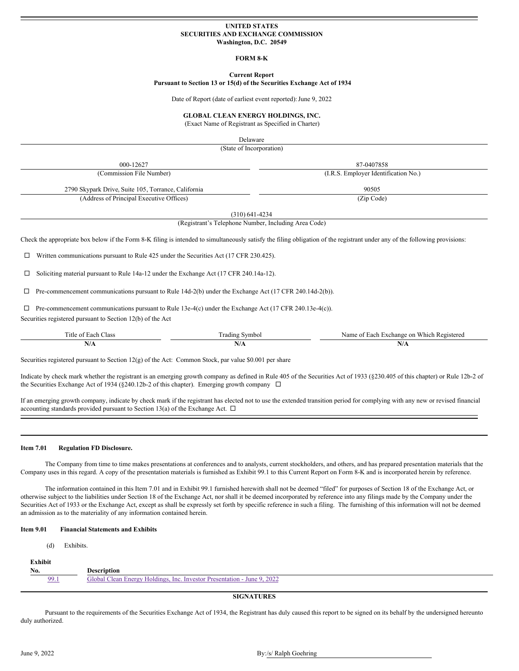#### **UNITED STATES SECURITIES AND EXCHANGE COMMISSION Washington, D.C. 20549**

#### **FORM 8-K**

#### **Current Report**

### **Pursuant to Section 13 or 15(d) of the Securities Exchange Act of 1934**

Date of Report (date of earliest event reported): June 9, 2022

#### **GLOBAL CLEAN ENERGY HOLDINGS, INC.**

(Exact Name of Registrant as Specified in Charter)

Delaware

(State of Incorporation)

| 000-12627                                                                                                                                                                              |                                                      | 87-0407858                                                                                                                                                                  |  |  |  |  |
|----------------------------------------------------------------------------------------------------------------------------------------------------------------------------------------|------------------------------------------------------|-----------------------------------------------------------------------------------------------------------------------------------------------------------------------------|--|--|--|--|
| (Commission File Number)<br>(I.R.S. Employer Identification No.)                                                                                                                       |                                                      |                                                                                                                                                                             |  |  |  |  |
| 2790 Skypark Drive, Suite 105, Torrance, California                                                                                                                                    |                                                      | 90505                                                                                                                                                                       |  |  |  |  |
| (Address of Principal Executive Offices)                                                                                                                                               |                                                      | (Zip Code)                                                                                                                                                                  |  |  |  |  |
|                                                                                                                                                                                        | $(310)$ 641-4234                                     |                                                                                                                                                                             |  |  |  |  |
|                                                                                                                                                                                        | (Registrant's Telephone Number, Including Area Code) |                                                                                                                                                                             |  |  |  |  |
| Written communications pursuant to Rule 425 under the Securities Act (17 CFR 230.425).<br>⊔<br>Soliciting material pursuant to Rule 14a-12 under the Exchange Act (17 CFR 240.14a-12). |                                                      | Check the appropriate box below if the Form 8-K filing is intended to simultaneously satisfy the filing obligation of the registrant under any of the following provisions: |  |  |  |  |
| Pre-commencement communications pursuant to Rule 14d-2(b) under the Exchange Act (17 CFR 240.14d-2(b)).                                                                                |                                                      |                                                                                                                                                                             |  |  |  |  |
| Pre-commencement communications pursuant to Rule 13e-4(c) under the Exchange Act (17 CFR 240.13e-4(c)).<br>Securities registered pursuant to Section 12(b) of the Act                  |                                                      |                                                                                                                                                                             |  |  |  |  |
|                                                                                                                                                                                        |                                                      |                                                                                                                                                                             |  |  |  |  |
| Title of Each Class                                                                                                                                                                    | <b>Trading Symbol</b>                                | Name of Each Exchange on Which Registered                                                                                                                                   |  |  |  |  |

Indicate by check mark whether the registrant is an emerging growth company as defined in Rule 405 of the Securities Act of 1933 (§230.405 of this chapter) or Rule 12b-2 of the Securities Exchange Act of 1934 (§240.12b-2 of this chapter). Emerging growth company  $\Box$ 

If an emerging growth company, indicate by check mark if the registrant has elected not to use the extended transition period for complying with any new or revised financial accounting standards provided pursuant to Section 13(a) of the Exchange Act.  $\Box$ 

#### **Item 7.01 Regulation FD Disclosure.**

The Company from time to time makes presentations at conferences and to analysts, current stockholders, and others, and has prepared presentation materials that the Company uses in this regard. A copy of the presentation materials is furnished as Exhibit 99.1 to this Current Report on Form 8-K and is incorporated herein by reference.

The information contained in this Item 7.01 and in Exhibit 99.1 furnished herewith shall not be deemed "filed" for purposes of Section 18 of the Exchange Act, or otherwise subject to the liabilities under Section 18 of the Exchange Act, nor shall it be deemed incorporated by reference into any filings made by the Company under the Securities Act of 1933 or the Exchange Act, except as shall be expressly set forth by specific reference in such a filing. The furnishing of this information will not be deemed an admission as to the materiality of any information contained herein.

#### **Item 9.01 Financial Statements and Exhibits**

| (d)     | Exhibits.                                                               |
|---------|-------------------------------------------------------------------------|
| Exhibit |                                                                         |
| No.     | <b>Description</b>                                                      |
| 99.1    | Global Clean Energy Holdings, Inc. Investor Presentation - June 9, 2022 |

#### **SIGNATURES**

Pursuant to the requirements of the Securities Exchange Act of 1934, the Registrant has duly caused this report to be signed on its behalf by the undersigned hereunto duly authorized.

### June 9, 2022 By:/s/ Ralph Goehring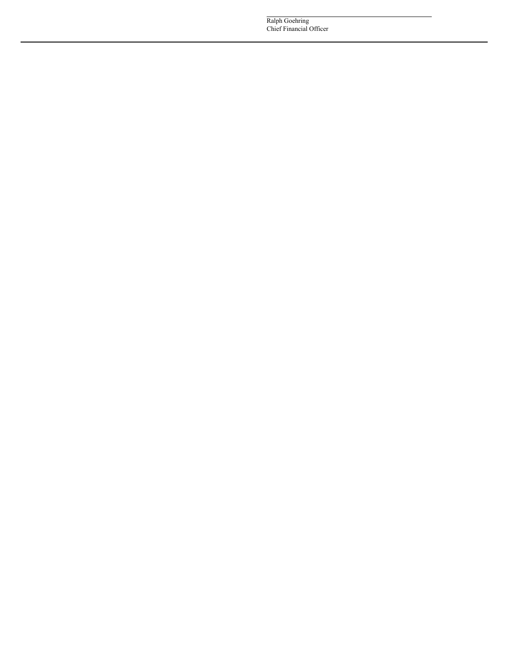Ralph Goehring Chief Financial Officer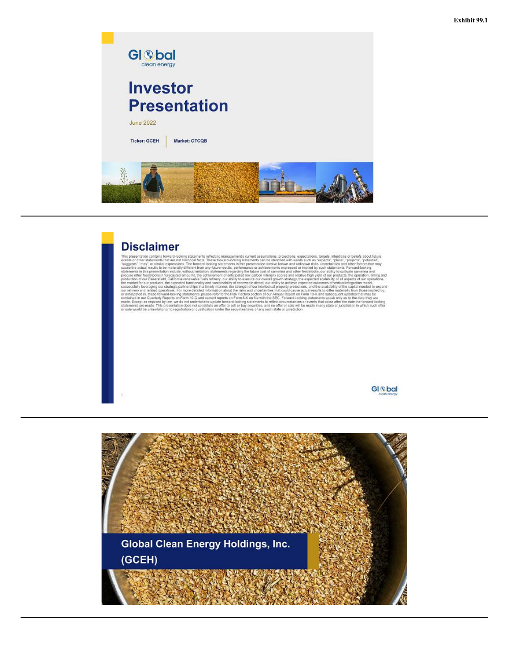

### **Disclaimer**

This presentation contribute for the exercise of the control interpret is current assumption, projections, expectations, targets, then<br>then ot beliefs about the specifical facts. These formats-boking statements current ass

**GI** S<sub>bal</sub>

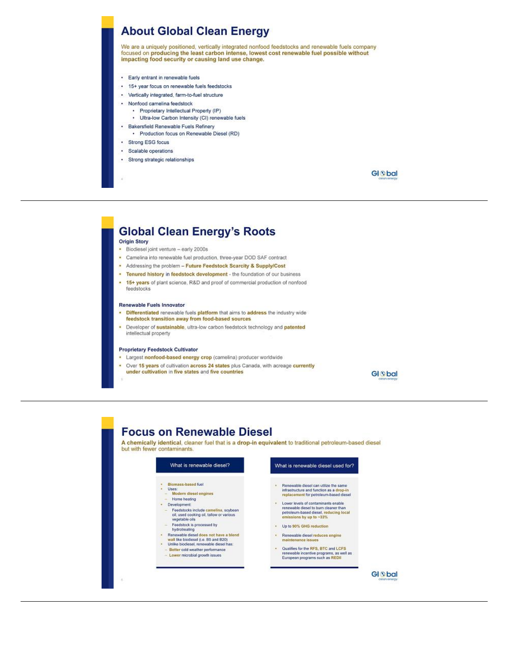## **About Global Clean Energy**

We are a uniquely positioned, vertically integrated nonfood feedstocks and renewable fuels company focused on producing the least carbon intense, lowest cost renewable fuel possible without impacting food security or causing land use change.

- · Early entrant in renewable fuels
- · 15+ year focus on renewable fuels feedstocks
- · Vertically integrated, farm-to-fuel structure
- · Nonfood camelina feedstock
	- · Proprietary Intellectual Property (IP)
	- · Ultra-low Carbon Intensity (CI) renewable fuels
- · Bakersfield Renewable Fuels Refinery · Production focus on Renewable Diesel (RD)
- · Strong ESG focus
- · Scalable operations
- · Strong strategic relationships

**GI** S<sub>bal</sub>

# **Global Clean Energy's Roots**

#### **Origin Story**

- · Biodiesel joint venture early 2000s
- Camelina into renewable fuel production, three-year DOD SAF contract
- Addressing the problem Future Feedstock Scarcity & Supply/Cost
- . Tenured history in feedstock development the foundation of our business
- . 15+ years of plant science, R&D and proof of commercial production of nonfood feedstocks

#### **Renewable Fuels Innovator**

- Differentiated renewable fuels platform that aims to address the industry wide feedstock transition away from food-based sources
- Developer of sustainable, ultra-low carbon feedstock technology and patented intellectual property

#### **Proprietary Feedstock Cultivator**

- Largest nonfood-based energy crop (camelina) producer worldwide
- Over 15 years of cultivation across 24 states plus Canada, with acreage currently under cultivation in five states and five countries

**GI** S<sub>bal</sub>

### **Focus on Renewable Diesel**

A chemically identical, cleaner fuel that is a drop-in equivalent to traditional petroleum-based diesel but with fewer contaminants.

### What is renewable diesel? Biomass-based fuel Uses:<br>Modern diesel engines Home heating · Development: Feedstocks include camelina, soybean<br>oil, used cooking oil, tallow or various<br>vegetable oils Feedstock is processed by Materiality<br>
Renewable diesel does not have a blend<br>
Wall Ike biodiesel (i.e. B5 and B20)<br>
Unlike biodiesel, renewable diesel has:

- 
- Better cold weather performance
- Lower microbial growth issues

#### What is renewable diesel used for?

- Renewable diesel can utilize the same<br>infrastructure and function as a drop-in<br>replacement for petroleum-based diesel
- Lower levels of contaminants enable<br>renewable diesel to burn cleaner than<br>petroleum-based diesel, reducing local<br>emissions by up to ~33%
- Up to 90% GHG reduction
- · Renewable diesel reduces engine aintenance issu
- . Qualifies for the RFS, BTC and LCFS renewable incentive programs, as well as<br>European programs such as REDII

**GI** S<sub>bal</sub>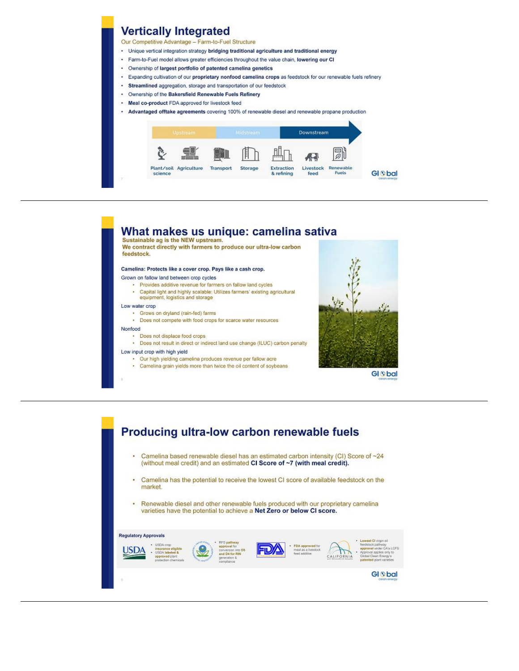### **Vertically Integrated**

Our Competitive Advantage - Farm-to-Fuel Structure

- . Unique vertical integration strategy bridging traditional agriculture and traditional energy
- · Farm-to-Fuel model allows greater efficiencies throughout the value chain, lowering our CI
- $\cdot$ Ownership of largest portfolio of patented camelina genetics
- Expanding cultivation of our proprietary nonfood camelina crops as feedstock for our renewable fuels refinery
- Streamlined aggregation, storage and transportation of our feedstock
- Ownership of the Bakersfield Renewable Fuels Refinery
- Meal co-product FDA approved for livestock feed
- Advantaged offtake agreements covering 100% of renewable diesel and renewable propane production





- Low input crop with high yield
	- · Our high yielding camelina produces revenue per fallow acre
	- · Camelina grain yields more than twice the oil content of soybeans



**GI** S<sub>bal</sub>

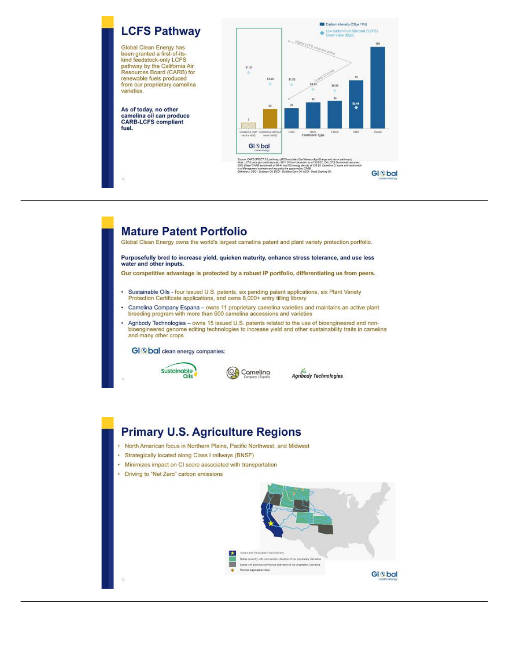<span id="page-5-0"></span>

# **Mature Patent Portfolio**

Global Clean Energy owns the world's largest camelina patent and plant variety protection portfolio.

Purposefully bred to increase yield, quicken maturity, enhance stress tolerance, and use less water and other inputs.

Our competitive advantage is protected by a robust IP portfolio, differentiating us from peers.

- Sustainable Oils four issued U.S. patents, six pending patent applications, six Plant Variety<br>Protection Certificate applications, and owns 8,000+ entry tilling library
- Camelina Company Espana owns 11 proprietary camelina varieties and maintains an active plant<br>breeding program with more than 600 camelina accessions and varieties ٠
- Agribody Technologies owns 15 issued U.S. patents related to the use of bioengineered and non-<br>bioengineered genome editing technologies to increase yield and other sustainability traits in camelina and many other crops

Camelina

GI S bal clean energy companies:





## **Primary U.S. Agriculture Regions**

- . North American focus in Northern Plains, Pacific Northwest, and Midwest
- · Strategically located along Class I railways (BNSF)
- · Minimizes impact on CI score associated with transportation
- Driving to "Net Zero" carbon emissions

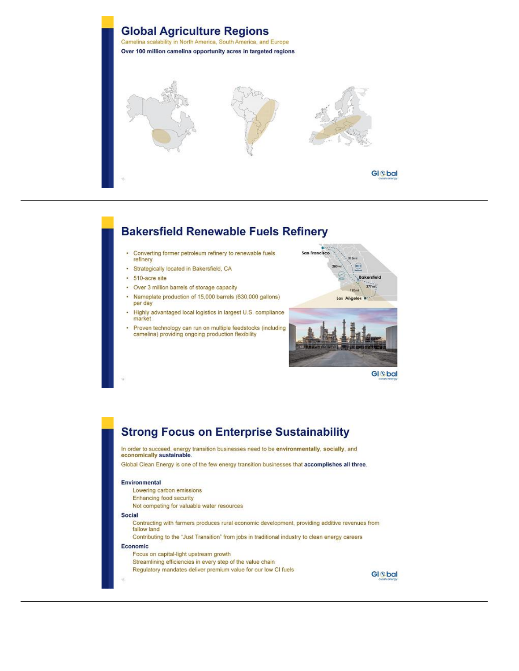

# **Bakersfield Renewable Fuels Refinery**

- Converting former petroleum refinery to renewable fuels refinery
- · Strategically located in Bakersfield, CA
- · 510-acre site
- Over 3 million barrels of storage capacity
- Nameplate production of 15,000 barrels (630,000 gallons) per day
- · Highly advantaged local logistics in largest U.S. compliance market
- Proven technology can run on multiple feedstocks (including<br>camelina) providing ongoing production flexibility



### **GI** S<sub>bal</sub>

# **Strong Focus on Enterprise Sustainability**

In order to succeed, energy transition businesses need to be environmentally, socially, and economically sustainable.

Global Clean Energy is one of the few energy transition businesses that accomplishes all three.

#### Environmental

- Lowering carbon emissions
- **Enhancing food security**
- Not competing for valuable water resources

#### Social

- Contracting with farmers produces rural economic development, providing additive revenues from fallow land
- Contributing to the "Just Transition" from jobs in traditional industry to clean energy careers

#### Economic

Focus on capital-light upstream growth Streamlining efficiencies in every step of the value chain Regulatory mandates deliver premium value for our low CI fuels

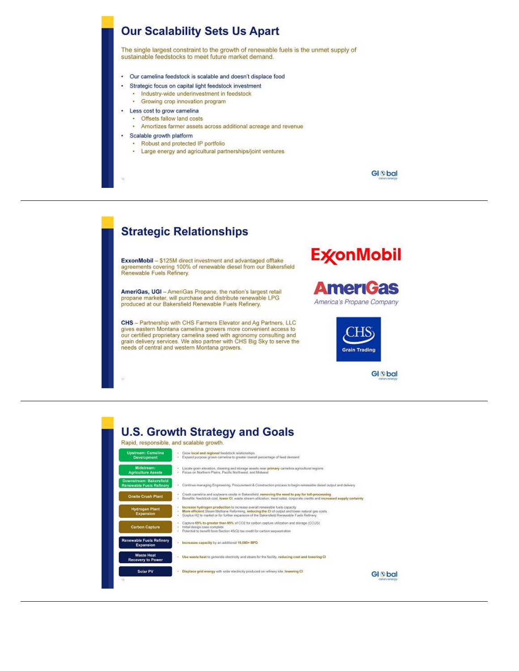

# **Strategic Relationships**

ExxonMobil - \$125M direct investment and advantaged offtake<br>agreements covering 100% of renewable diesel from our Bakersfield<br>Renewable Fuels Refinery.

AmeriGas, UGI - AmeriGas Propane, the nation's largest retail<br>propane marketer, will purchase and distribute renewable LPG produced at our Bakersfield Renewable Fuels Refinery.

CHS - Partnership with CHS Farmers Elevator and Ag Partners, LLC gives eastern Montana camelina growers more convenient access to our certified proprietary camelina seed with agronomy consulting and grain delivery services. We also partner with CHS Big Sky to serve the needs of central and western Montana growers.







**U.S. Growth Strategy and Goals** Rapid, responsible, and scalable growth. Grow local and regional feedstock relationships<br>Expand purpose grown camelina to greater overall percentage of feed demand Locate grain elevation, cleaning and storage assets near primary camelina agricultural regions<br>Focus on Northern Plains, Pacific Northwest, and Midwest Continue managing Engineering. Procurement & Construction process to begin renewable cliesel output and delivery Crush carnelins and scybeans onabe in Bakersfield, removing the need to pay for toll-processing<br>Banafita: feadstock cost, lower CI, waste stream utilization, meal sakes, corporate credits and increased supply certainty Increase hydrogen production to increase overall renewable fuels capacity<br>More efficient Sheam Methane Reforming, reducing the CI of output and lower natural gas coots<br>Surplus H2 to market or for further expansion of the B Capture <mark>65% to greater than 85%</mark> of CC2 for cathon capture utilization and storage (CCUS).<br>Initial design case complete<br>Potential to benefit from Section 45(C) tax credit for carbon sequestration Increases capacity by an additional 15,000+ BPD ste Heal<br>ny to Po Use waste heat to generate electricity and steam for the facility, reducing cost and lowering CI Solar PV . Displace grid energy with solar electricity produced on refinery site, lowering CI **GI** S<sub>bal</sub>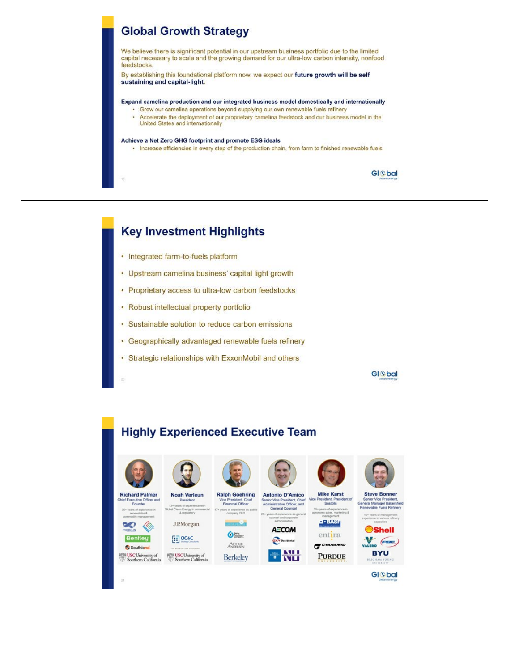## **Global Growth Strategy**

We believe there is significant potential in our upstream business portfolio due to the limited capital necessary to scale and the growing demand for our ultra-low carbon intensity, nonfood feedstocks.

By establishing this foundational platform now, we expect our future growth will be self sustaining and capital-light.

Expand camelina production and our integrated business model domestically and internationally

- · Grow our camelina operations beyond supplying our own renewable fuels refinery
- Accelerate the deployment of our proprietary camelina feedstock and our business model in the United States and internationally

#### Achieve a Net Zero GHG footprint and promote ESG ideals

· Increase efficiencies in every step of the production chain, from farm to finished renewable fuels

**GI** S<sub>bal</sub>

### **Key Investment Highlights**

- Integrated farm-to-fuels platform
- Upstream camelina business' capital light growth
- Proprietary access to ultra-low carbon feedstocks
- Robust intellectual property portfolio
- Sustainable solution to reduce carbon emissions
- Geographically advantaged renewable fuels refinery
- Strategic relationships with ExxonMobil and others

**GI** S<sub>bal</sub>